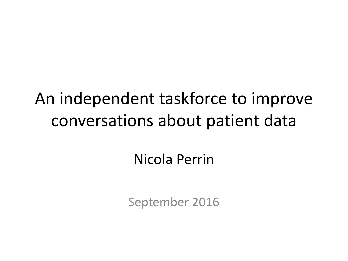## An independent taskforce to improve conversations about patient data

### Nicola Perrin

September 2016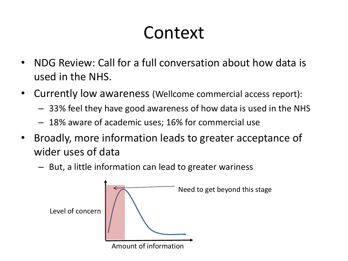# Context

- NDG Review: Call for a full conversation about how data is used in the NHS.
- Currently low awareness (Wellcome commercial access report):
	- 33% feel they have good awareness of how data is used in the NHS
	- 18% aware of academic uses; 16% for commercial use
- Broadly, more information leads to greater acceptance of wider uses of data
	- But, a little information can lead to greater wariness

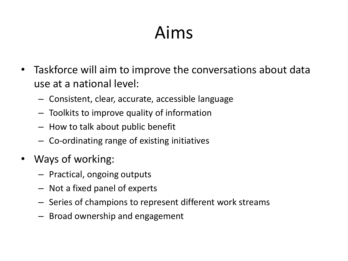# Aims

- Taskforce will aim to improve the conversations about data use at a national level:
	- Consistent, clear, accurate, accessible language
	- Toolkits to improve quality of information
	- How to talk about public benefit
	- Co-ordinating range of existing initiatives
- Ways of working:
	- Practical, ongoing outputs
	- Not a fixed panel of experts
	- Series of champions to represent different work streams
	- Broad ownership and engagement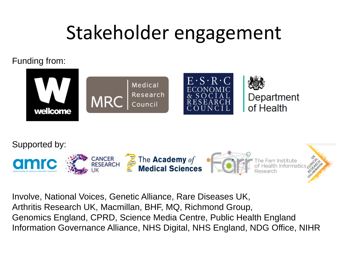# Stakeholder engagement

### Funding from:





Involve, National Voices, Genetic Alliance, Rare Diseases UK, Arthritis Research UK, Macmillan, BHF, MQ, Richmond Group, Genomics England, CPRD, Science Media Centre, Public Health England Information Governance Alliance, NHS Digital, NHS England, NDG Office, NIHR